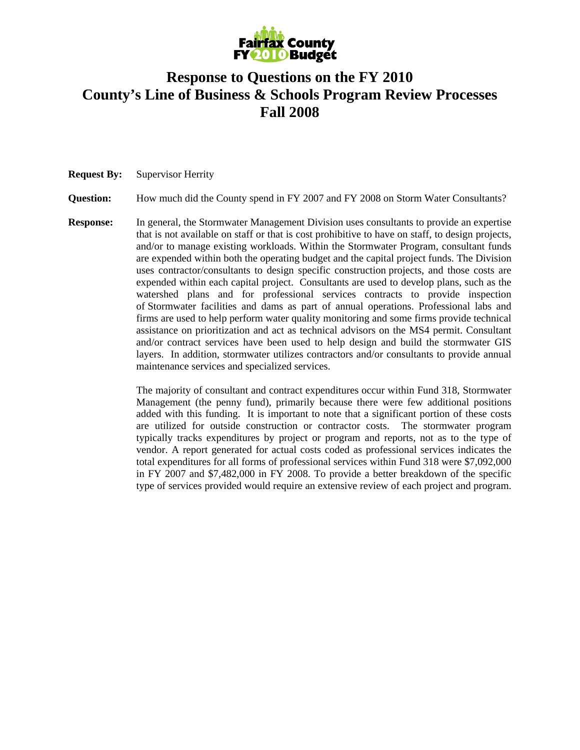

## **Response to Questions on the FY 2010 County's Line of Business & Schools Program Review Processes Fall 2008**

## **Request By:** Supervisor Herrity

**Question:** How much did the County spend in FY 2007 and FY 2008 on Storm Water Consultants?

**Response:** In general, the Stormwater Management Division uses consultants to provide an expertise that is not available on staff or that is cost prohibitive to have on staff, to design projects, and/or to manage existing workloads. Within the Stormwater Program, consultant funds are expended within both the operating budget and the capital project funds. The Division uses contractor/consultants to design specific construction projects, and those costs are expended within each capital project. Consultants are used to develop plans, such as the watershed plans and for professional services contracts to provide inspection of Stormwater facilities and dams as part of annual operations. Professional labs and firms are used to help perform water quality monitoring and some firms provide technical assistance on prioritization and act as technical advisors on the MS4 permit. Consultant and/or contract services have been used to help design and build the stormwater GIS layers. In addition, stormwater utilizes contractors and/or consultants to provide annual maintenance services and specialized services.

> The majority of consultant and contract expenditures occur within Fund 318, Stormwater Management (the penny fund), primarily because there were few additional positions added with this funding. It is important to note that a significant portion of these costs are utilized for outside construction or contractor costs. The stormwater program typically tracks expenditures by project or program and reports, not as to the type of vendor. A report generated for actual costs coded as professional services indicates the total expenditures for all forms of professional services within Fund 318 were \$7,092,000 in FY 2007 and \$7,482,000 in FY 2008. To provide a better breakdown of the specific type of services provided would require an extensive review of each project and program.